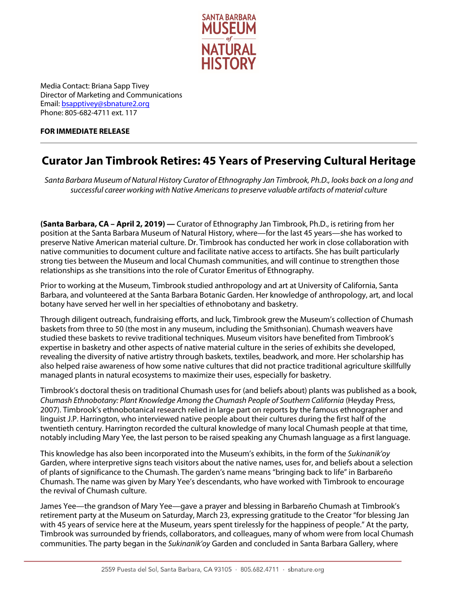

Media Contact: Briana Sapp Tivey Director of Marketing and Communications Email[: bsapptivey@sbnature2.org](mailto:bsapptivey@sbnature2.org) Phone: 805-682-4711 ext. 117

## **FOR IMMEDIATE RELEASE**

## **Curator Jan Timbrook Retires: 45 Years of Preserving Cultural Heritage**

*Santa Barbara Museum of Natural History Curator of Ethnography Jan Timbrook, Ph.D., looks back on a long and successful career working with Native Americans to preserve valuable artifacts of material culture*

**(Santa Barbara, CA – April 2, 2019) —** Curator of Ethnography Jan Timbrook, Ph.D., is retiring from her position at the Santa Barbara Museum of Natural History, where—for the last 45 years—she has worked to preserve Native American material culture. Dr. Timbrook has conducted her work in close collaboration with native communities to document culture and facilitate native access to artifacts. She has built particularly strong ties between the Museum and local Chumash communities, and will continue to strengthen those relationships as she transitions into the role of Curator Emeritus of Ethnography.

Prior to working at the Museum, Timbrook studied anthropology and art at University of California, Santa Barbara, and volunteered at the Santa Barbara Botanic Garden. Her knowledge of anthropology, art, and local botany have served her well in her specialties of ethnobotany and basketry.

Through diligent outreach, fundraising efforts, and luck, Timbrook grew the Museum's collection of Chumash baskets from three to 50 (the most in any museum, including the Smithsonian). Chumash weavers have studied these baskets to revive traditional techniques. Museum visitors have benefited from Timbrook's expertise in basketry and other aspects of native material culture in the series of exhibits she developed, revealing the diversity of native artistry through baskets, textiles, beadwork, and more. Her scholarship has also helped raise awareness of how some native cultures that did not practice traditional agriculture skillfully managed plants in natural ecosystems to maximize their uses, especially for basketry.

Timbrook's doctoral thesis on traditional Chumash uses for (and beliefs about) plants was published as a book, *Chumash Ethnobotany: Plant Knowledge Among the Chumash People of Southern California* (Heyday Press, 2007). Timbrook's ethnobotanical research relied in large part on reports by the famous ethnographer and linguist J.P. Harrington, who interviewed native people about their cultures during the first half of the twentieth century. Harrington recorded the cultural knowledge of many local Chumash people at that time, notably including Mary Yee, the last person to be raised speaking any Chumash language as a first language.

This knowledge has also been incorporated into the Museum's exhibits, in the form of the *Sukinanik'oy* Garden, where interpretive signs teach visitors about the native names, uses for, and beliefs about a selection of plants of significance to the Chumash. The garden's name means "bringing back to life" in Barbareño Chumash. The name was given by Mary Yee's descendants, who have worked with Timbrook to encourage the revival of Chumash culture.

James Yee—the grandson of Mary Yee—gave a prayer and blessing in Barbareño Chumash at Timbrook's retirement party at the Museum on Saturday, March 23, expressing gratitude to the Creator "for blessing Jan with 45 years of service here at the Museum, years spent tirelessly for the happiness of people." At the party, Timbrook was surrounded by friends, collaborators, and colleagues, many of whom were from local Chumash communities. The party began in the *Sukinanik'oy* Garden and concluded in Santa Barbara Gallery, where